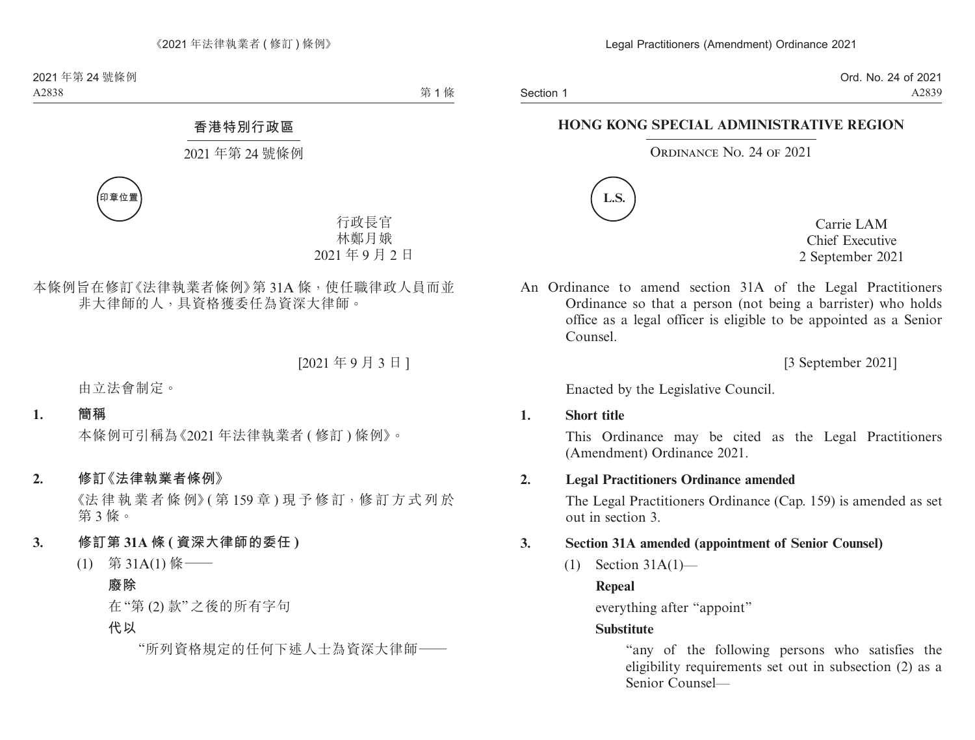Section 1

Ord. No. 24 of 2021 A2839

### **HONG KONG SPECIAL ADMINISTRATIVE REGION**

#### ORDINANCE NO. 24 OF 2021



Carrie LAM Chief Executive 2 September 2021

An Ordinance to amend section 31A of the Legal Practitioners Ordinance so that a person (not being a barrister) who holds office as a legal officer is eligible to be appointed as a Senior Counsel.

[3 September 2021]

Enacted by the Legislative Council.

**1. Short title**

This Ordinance may be cited as the Legal Practitioners (Amendment) Ordinance 2021.

## **2. Legal Practitioners Ordinance amended**

The Legal Practitioners Ordinance (Cap. 159) is amended as set out in section 3.

## **3. Section 31A amended (appointment of Senior Counsel)**

(1) Section 31A(1)—

## **Repeal**

everything after "appoint"

## **Substitute**

"any of the following persons who satisfies the eligibility requirements set out in subsection (2) as a Senior Counsel—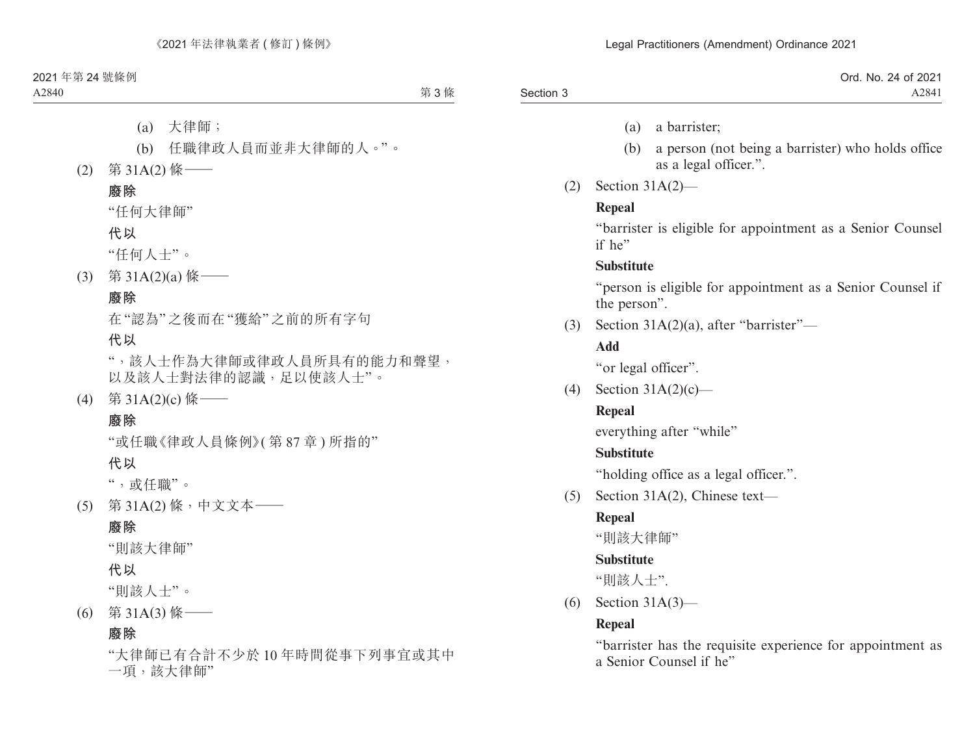|           | Ord. No. 24 of 2021 |
|-----------|---------------------|
| Section 3 | A2841               |

- (a) a barrister;
- (b) a person (not being a barrister) who holds office as a legal officer.".
- (2) Section 31A(2)—

## **Repeal**

"barrister is eligible for appointment as a Senior Counsel if he"

## **Substitute**

"person is eligible for appointment as a Senior Counsel if the person".

(3) Section  $31A(2)(a)$ , after "barrister"—

## **Add**

"or legal officer".

(4) Section 31A(2)(c)—

# **Repeal**

everything after "while"

## **Substitute**

"holding office as a legal officer.".

(5) Section 31A(2), Chinese text—

# **Repeal**

"則該大律師"

# **Substitute**

"則該人士".

(6) Section 31A(3)—

# **Repeal**

"barrister has the requisite experience for appointment as a Senior Counsel if he"